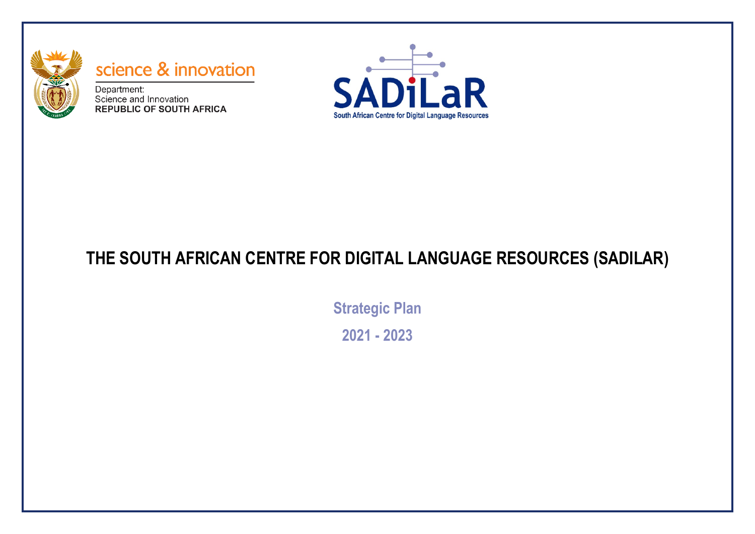

# science & innovation

Department: Science and Innovation **REPUBLIC OF SOUTH AFRICA** 



## **THE SOUTH AFRICAN CENTRE FOR DIGITAL LANGUAGE RESOURCES (SADILAR)**

**Strategic Plan 2021 - 2023**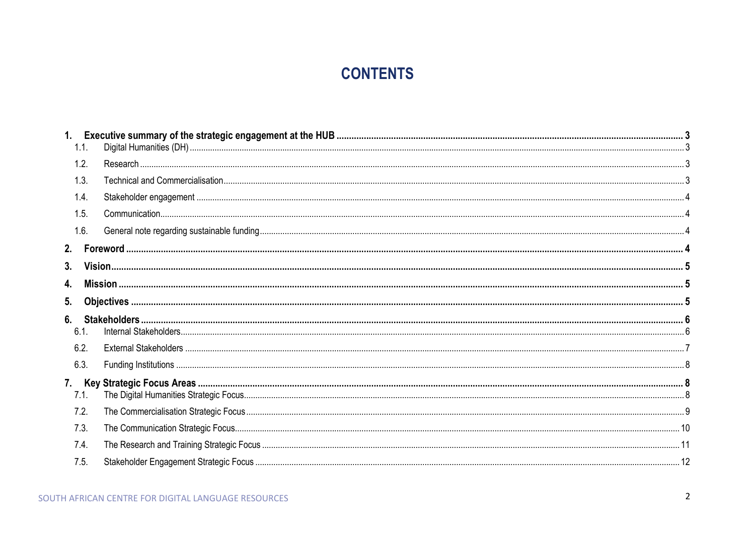## **CONTENTS**

| 1 <sub>1</sub> |  |  |  |
|----------------|--|--|--|
| 1.1.           |  |  |  |
| 1.2.           |  |  |  |
| 1.3.           |  |  |  |
| 1.4.           |  |  |  |
| 1.5.           |  |  |  |
| 1.6.           |  |  |  |
|                |  |  |  |
| 3.             |  |  |  |
| 4.             |  |  |  |
| 5.             |  |  |  |
| 6.             |  |  |  |
| 6.1.           |  |  |  |
| 6.2.           |  |  |  |
| 6.3.           |  |  |  |
|                |  |  |  |
| 7.1.           |  |  |  |
| 7.2.           |  |  |  |
| 7.3.           |  |  |  |
| 7.4.           |  |  |  |
| 7.5.           |  |  |  |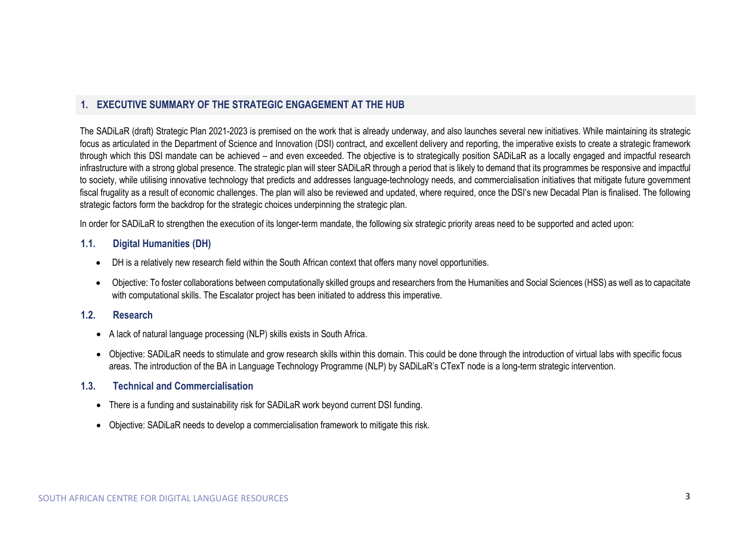## <span id="page-2-0"></span>**1. EXECUTIVE SUMMARY OF THE STRATEGIC ENGAGEMENT AT THE HUB**

The SADiLaR (draft) Strategic Plan 2021-2023 is premised on the work that is already underway, and also launches several new initiatives. While maintaining its strategic focus as articulated in the Department of Science and Innovation (DSI) contract, and excellent delivery and reporting, the imperative exists to create a strategic framework through which this DSI mandate can be achieved – and even exceeded. The objective is to strategically position SADiLaR as a locally engaged and impactful research infrastructure with a strong global presence. The strategic plan will steer SADiLaR through a period that is likely to demand that its programmes be responsive and impactful to society, while utilising innovative technology that predicts and addresses language-technology needs, and commercialisation initiatives that mitigate future government fiscal frugality as a result of economic challenges. The plan will also be reviewed and updated, where required, once the DSI's new Decadal Plan is finalised. The following strategic factors form the backdrop for the strategic choices underpinning the strategic plan.

In order for SADILaR to strengthen the execution of its longer-term mandate, the following six strategic priority areas need to be supported and acted upon:

#### <span id="page-2-1"></span>**1.1. Digital Humanities (DH)**

- DH is a relatively new research field within the South African context that offers many novel opportunities.
- Objective: To foster collaborations between computationally skilled groups and researchers from the Humanities and Social Sciences (HSS) as well as to capacitate with computational skills. The Escalator project has been initiated to address this imperative.

### <span id="page-2-2"></span>**1.2. Research**

- A lack of natural language processing (NLP) skills exists in South Africa.
- Objective: SADiLaR needs to stimulate and grow research skills within this domain. This could be done through the introduction of virtual labs with specific focus areas. The introduction of the BA in Language Technology Programme (NLP) by SADiLaR's CTexT node is a long-term strategic intervention.
- <span id="page-2-3"></span>**1.3. Technical and Commercialisation**
	- There is a funding and sustainability risk for SADiLaR work beyond current DSI funding.
	- Objective: SADiLaR needs to develop a commercialisation framework to mitigate this risk.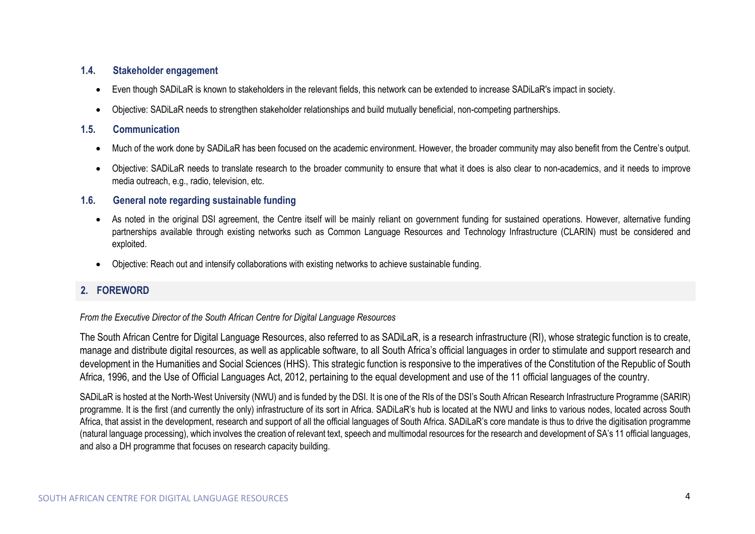## <span id="page-3-0"></span>**1.4. Stakeholder engagement**

- Even though SADiLaR is known to stakeholders in the relevant fields, this network can be extended to increase SADiLaR's impact in society.
- Objective: SADiLaR needs to strengthen stakeholder relationships and build mutually beneficial, non-competing partnerships.

## <span id="page-3-1"></span>**1.5. Communication**

- Much of the work done by SADiLaR has been focused on the academic environment. However, the broader community may also benefit from the Centre's output.
- Objective: SADiLaR needs to translate research to the broader community to ensure that what it does is also clear to non-academics, and it needs to improve media outreach, e.g., radio, television, etc.

## <span id="page-3-2"></span>**1.6. General note regarding sustainable funding**

- As noted in the original DSI agreement, the Centre itself will be mainly reliant on government funding for sustained operations. However, alternative funding partnerships available through existing networks such as Common Language Resources and Technology Infrastructure (CLARIN) must be considered and exploited.
- Objective: Reach out and intensify collaborations with existing networks to achieve sustainable funding.

## <span id="page-3-3"></span>**2. FOREWORD**

### *From the Executive Director of the South African Centre for Digital Language Resources*

The South African Centre for Digital Language Resources, also referred to as SADiLaR, is a research infrastructure (RI), whose strategic function is to create, manage and distribute digital resources, as well as applicable software, to all South Africa's official languages in order to stimulate and support research and development in the Humanities and Social Sciences (HHS). This strategic function is responsive to the imperatives of the Constitution of the Republic of South Africa, 1996, and the Use of Official Languages Act, 2012, pertaining to the equal development and use of the 11 official languages of the country.

SADiLaR is hosted at the North-West University (NWU) and is funded by the DSI. It is one of the RIs of the DSI's South African Research Infrastructure Programme (SARIR) programme. It is the first (and currently the only) infrastructure of its sort in Africa. SADiLaR's hub is located at the NWU and links to various nodes, located across South Africa, that assist in the development, research and support of all the official languages of South Africa. SADiLaR's core mandate is thus to drive the digitisation programme (natural language processing), which involves the creation of relevant text, speech and multimodal resources for the research and development of SA's 11 official languages, and also a DH programme that focuses on research capacity building.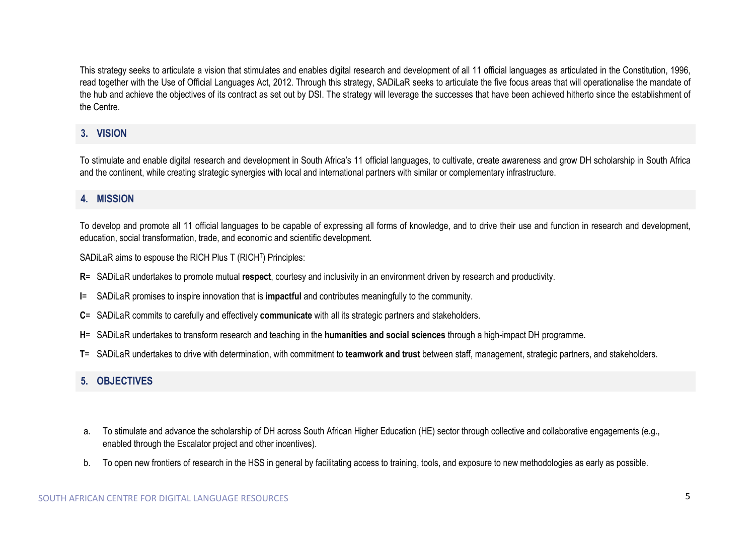This strategy seeks to articulate a vision that stimulates and enables digital research and development of all 11 official languages as articulated in the Constitution, 1996, read together with the Use of Official Languages Act, 2012. Through this strategy, SADiLaR seeks to articulate the five focus areas that will operationalise the mandate of the hub and achieve the objectives of its contract as set out by DSI. The strategy will leverage the successes that have been achieved hitherto since the establishment of the Centre.

## <span id="page-4-0"></span>**3. VISION**

To stimulate and enable digital research and development in South Africa's 11 official languages, to cultivate, create awareness and grow DH scholarship in South Africa and the continent, while creating strategic synergies with local and international partners with similar or complementary infrastructure.

## <span id="page-4-1"></span>**4. MISSION**

To develop and promote all 11 official languages to be capable of expressing all forms of knowledge, and to drive their use and function in research and development, education, social transformation, trade, and economic and scientific development.

SADiLaR aims to espouse the RICH Plus T (RICHT) Principles:

- **R**= SADiLaR undertakes to promote mutual **respect**, courtesy and inclusivity in an environment driven by research and productivity.
- **I**= SADiLaR promises to inspire innovation that is **impactful** and contributes meaningfully to the community.
- **C**= SADiLaR commits to carefully and effectively **communicate** with all its strategic partners and stakeholders.
- **H**= SADiLaR undertakes to transform research and teaching in the **humanities and social sciences** through a high-impact DH programme.
- **T**= SADiLaR undertakes to drive with determination, with commitment to **teamwork and trust** between staff, management, strategic partners, and stakeholders.

## <span id="page-4-2"></span>**5. OBJECTIVES**

- a. To stimulate and advance the scholarship of DH across South African Higher Education (HE) sector through collective and collaborative engagements (e.g., enabled through the Escalator project and other incentives).
- b. To open new frontiers of research in the HSS in general by facilitating access to training, tools, and exposure to new methodologies as early as possible.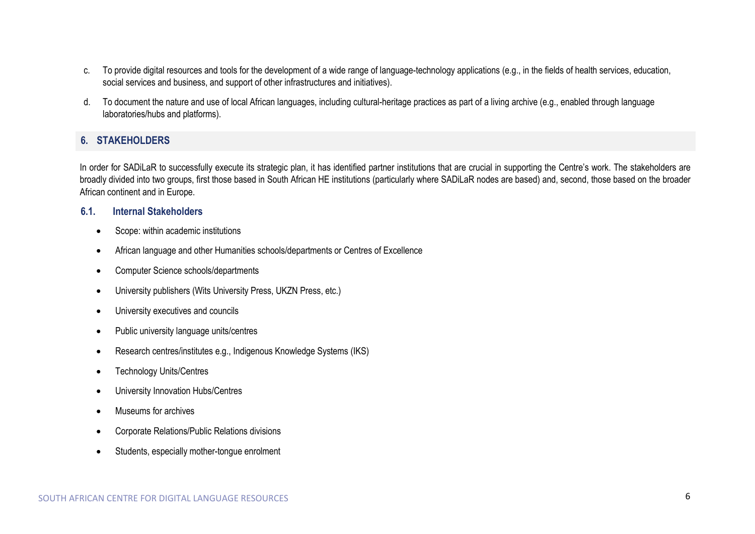- c. To provide digital resources and tools for the development of a wide range of language-technology applications (e.g., in the fields of health services, education, social services and business, and support of other infrastructures and initiatives).
- d. To document the nature and use of local African languages, including cultural-heritage practices as part of a living archive (e.g., enabled through language laboratories/hubs and platforms).

## <span id="page-5-0"></span>**6. STAKEHOLDERS**

In order for SADiLaR to successfully execute its strategic plan, it has identified partner institutions that are crucial in supporting the Centre's work. The stakeholders are broadly divided into two groups, first those based in South African HE institutions (particularly where SADiLaR nodes are based) and, second, those based on the broader African continent and in Europe.

#### <span id="page-5-1"></span>**6.1. Internal Stakeholders**

- Scope: within academic institutions
- African language and other Humanities schools/departments or Centres of Excellence
- Computer Science schools/departments
- University publishers (Wits University Press, UKZN Press, etc.)
- University executives and councils
- Public university language units/centres
- Research centres/institutes e.g., Indigenous Knowledge Systems (IKS)
- Technology Units/Centres
- University Innovation Hubs/Centres
- Museums for archives
- Corporate Relations/Public Relations divisions
- Students, especially mother-tongue enrolment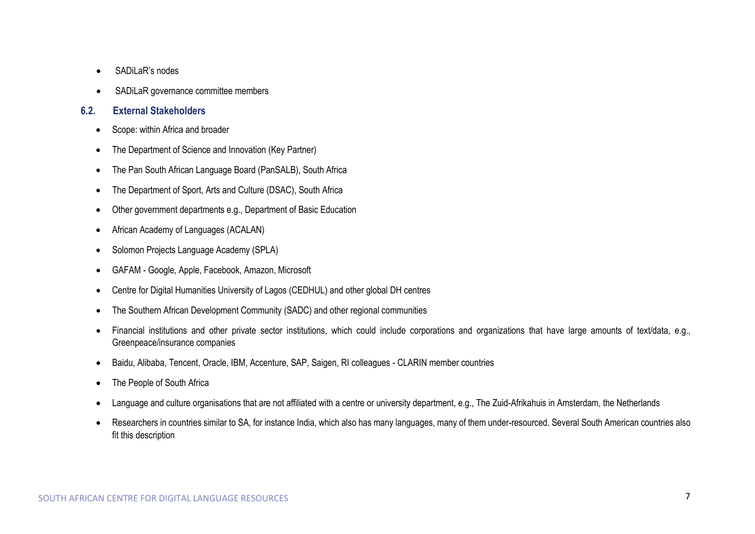- SADiLaR's nodes
- SADiLaR governance committee members

### <span id="page-6-0"></span>**6.2. External Stakeholders**

- Scope: within Africa and broader
- The Department of Science and Innovation (Key Partner)
- The Pan South African Language Board (PanSALB), South Africa
- The Department of Sport, Arts and Culture (DSAC), South Africa
- Other government departments e.g., Department of Basic Education
- African Academy of Languages (ACALAN)
- Solomon Projects Language Academy (SPLA)
- GAFAM Google, Apple, Facebook, Amazon, Microsoft
- Centre for Digital Humanities University of Lagos (CEDHUL) and other global DH centres
- The Southern African Development Community (SADC) and other regional communities
- Financial institutions and other private sector institutions, which could include corporations and organizations that have large amounts of text/data, e.g., Greenpeace/insurance companies
- Baidu, Alibaba, Tencent, Oracle, IBM, Accenture, SAP, Saigen, RI colleagues CLARIN member countries
- The People of South Africa
- Language and culture organisations that are not affiliated with a centre or university department, e.g., The Zuid-Afrikahuis in Amsterdam, the Netherlands
- Researchers in countries similar to SA, for instance India, which also has many languages, many of them under-resourced. Several South American countries also fit this description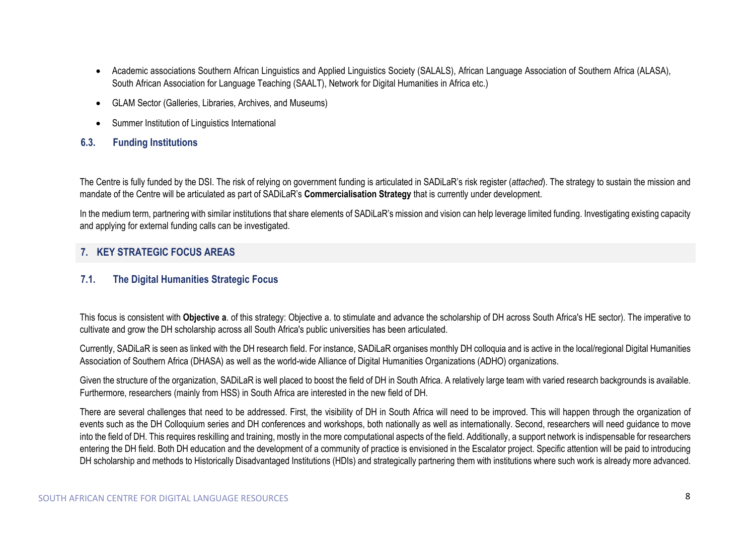- Academic associations Southern African Linguistics and Applied Linguistics Society (SALALS), African Language Association of Southern Africa (ALASA), South African Association for Language Teaching (SAALT), Network for Digital Humanities in Africa etc.)
- GLAM Sector (Galleries, Libraries, Archives, and Museums)
- Summer Institution of Linguistics International

## <span id="page-7-0"></span>**6.3. Funding Institutions**

The Centre is fully funded by the DSI. The risk of relying on government funding is articulated in SADiLaR's risk register (*attached*). The strategy to sustain the mission and mandate of the Centre will be articulated as part of SADiLaR's **Commercialisation Strategy** that is currently under development.

In the medium term, partnering with similar institutions that share elements of SADiLaR's mission and vision can help leverage limited funding. Investigating existing capacity and applying for external funding calls can be investigated.

## <span id="page-7-1"></span>**7. KEY STRATEGIC FOCUS AREAS**

### <span id="page-7-2"></span>**7.1. The Digital Humanities Strategic Focus**

This focus is consistent with **Objective a**. of this strategy: Objective a. to stimulate and advance the scholarship of DH across South Africa's HE sector). The imperative to cultivate and grow the DH scholarship across all South Africa's public universities has been articulated.

Currently, SADiLaR is seen as linked with the DH research field. For instance, SADiLaR organises monthly DH colloquia and is active in the local/regional Digital Humanities Association of Southern Africa (DHASA) as well as the world-wide Alliance of Digital Humanities Organizations (ADHO) organizations.

Given the structure of the organization, SADiLaR is well placed to boost the field of DH in South Africa. A relatively large team with varied research backgrounds is available. Furthermore, researchers (mainly from HSS) in South Africa are interested in the new field of DH.

There are several challenges that need to be addressed. First, the visibility of DH in South Africa will need to be improved. This will happen through the organization of events such as the DH Colloquium series and DH conferences and workshops, both nationally as well as internationally. Second, researchers will need guidance to move into the field of DH. This requires reskilling and training, mostly in the more computational aspects of the field. Additionally, a support network is indispensable for researchers entering the DH field. Both DH education and the development of a community of practice is envisioned in the Escalator project. Specific attention will be paid to introducing DH scholarship and methods to Historically Disadvantaged Institutions (HDIs) and strategically partnering them with institutions where such work is already more advanced.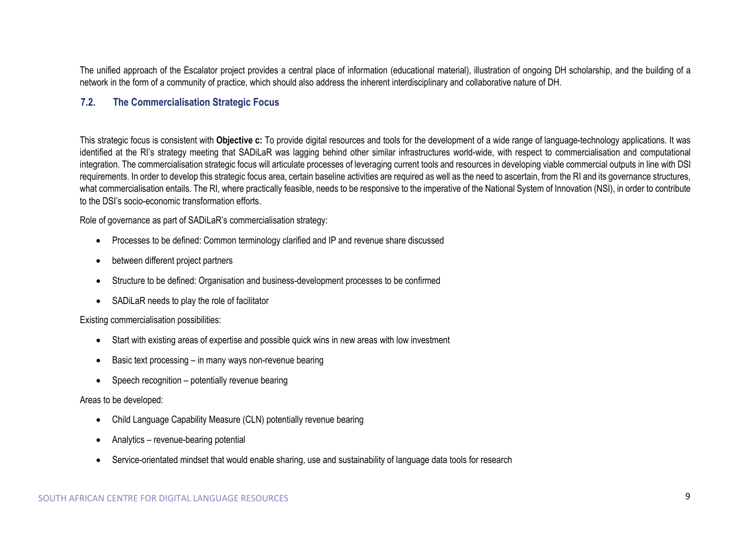The unified approach of the Escalator project provides a central place of information (educational material), illustration of ongoing DH scholarship, and the building of a network in the form of a community of practice, which should also address the inherent interdisciplinary and collaborative nature of DH.

## <span id="page-8-0"></span>**7.2. The Commercialisation Strategic Focus**

This strategic focus is consistent with **Objective c:** To provide digital resources and tools for the development of a wide range of language-technology applications. It was identified at the RI's strategy meeting that SADiLaR was lagging behind other similar infrastructures world-wide, with respect to commercialisation and computational integration. The commercialisation strategic focus will articulate processes of leveraging current tools and resources in developing viable commercial outputs in line with DSI requirements. In order to develop this strategic focus area, certain baseline activities are required as well as the need to ascertain, from the RI and its governance structures, what commercialisation entails. The RI, where practically feasible, needs to be responsive to the imperative of the National System of Innovation (NSI), in order to contribute to the DSI's socio-economic transformation efforts.

Role of governance as part of SADiLaR's commercialisation strategy:

- Processes to be defined: Common terminology clarified and IP and revenue share discussed
- between different project partners
- Structure to be defined: Organisation and business-development processes to be confirmed
- SADiLaR needs to play the role of facilitator

#### Existing commercialisation possibilities:

- Start with existing areas of expertise and possible quick wins in new areas with low investment
- Basic text processing in many ways non-revenue bearing
- Speech recognition potentially revenue bearing

#### Areas to be developed:

- Child Language Capability Measure (CLN) potentially revenue bearing
- Analytics revenue-bearing potential
- Service-orientated mindset that would enable sharing, use and sustainability of language data tools for research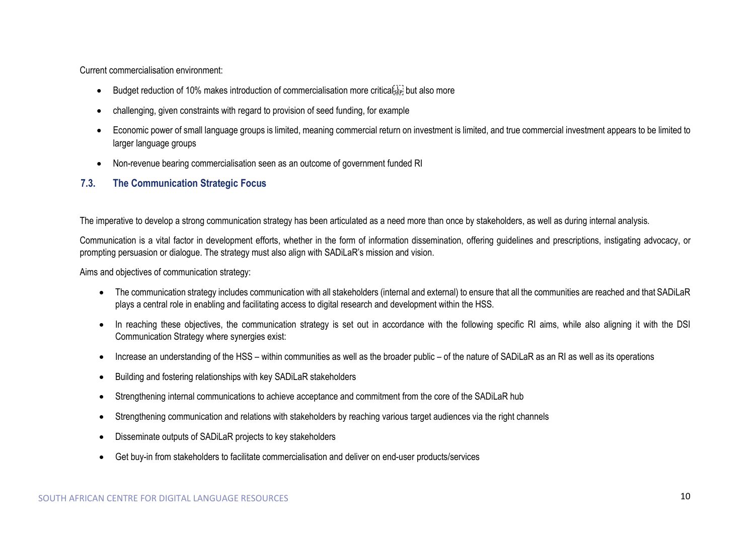Current commercialisation environment:

- Budget reduction of 10% makes introduction of commercialisation more criticals but also more
- challenging, given constraints with regard to provision of seed funding, for example
- Economic power of small language groups is limited, meaning commercial return on investment is limited, and true commercial investment appears to be limited to larger language groups
- Non-revenue bearing commercialisation seen as an outcome of government funded RI

## <span id="page-9-0"></span>**7.3. The Communication Strategic Focus**

The imperative to develop a strong communication strategy has been articulated as a need more than once by stakeholders, as well as during internal analysis.

Communication is a vital factor in development efforts, whether in the form of information dissemination, offering guidelines and prescriptions, instigating advocacy, or prompting persuasion or dialogue. The strategy must also align with SADiLaR's mission and vision.

Aims and objectives of communication strategy:

- The communication strategy includes communication with all stakeholders (internal and external) to ensure that all the communities are reached and that SADiLaR plays a central role in enabling and facilitating access to digital research and development within the HSS.
- In reaching these objectives, the communication strategy is set out in accordance with the following specific RI aims, while also aligning it with the DSI Communication Strategy where synergies exist:
- Increase an understanding of the HSS within communities as well as the broader public of the nature of SADiLaR as an RI as well as its operations
- Building and fostering relationships with key SADiLaR stakeholders
- Strengthening internal communications to achieve acceptance and commitment from the core of the SADiLaR hub
- Strengthening communication and relations with stakeholders by reaching various target audiences via the right channels
- Disseminate outputs of SADiLaR projects to key stakeholders
- Get buy-in from stakeholders to facilitate commercialisation and deliver on end-user products/services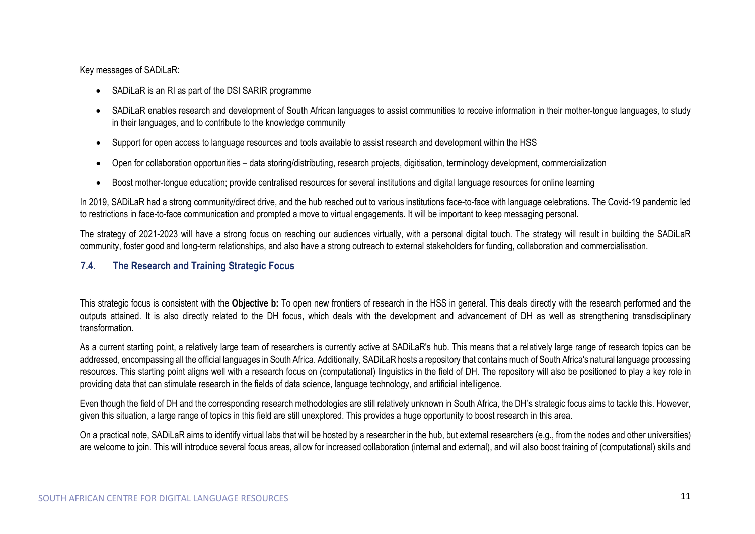Key messages of SADiLaR:

- SADiLaR is an RI as part of the DSI SARIR programme
- SADiLaR enables research and development of South African languages to assist communities to receive information in their mother-tongue languages, to study in their languages, and to contribute to the knowledge community
- Support for open access to language resources and tools available to assist research and development within the HSS
- Open for collaboration opportunities data storing/distributing, research projects, digitisation, terminology development, commercialization
- Boost mother-tongue education; provide centralised resources for several institutions and digital language resources for online learning

In 2019, SADiLaR had a strong community/direct drive, and the hub reached out to various institutions face-to-face with language celebrations. The Covid-19 pandemic led to restrictions in face-to-face communication and prompted a move to virtual engagements. It will be important to keep messaging personal.

The strategy of 2021-2023 will have a strong focus on reaching our audiences virtually, with a personal digital touch. The strategy will result in building the SADiLaR community, foster good and long-term relationships, and also have a strong outreach to external stakeholders for funding, collaboration and commercialisation.

## <span id="page-10-0"></span>**7.4. The Research and Training Strategic Focus**

This strategic focus is consistent with the **Objective b:** To open new frontiers of research in the HSS in general. This deals directly with the research performed and the outputs attained. It is also directly related to the DH focus, which deals with the development and advancement of DH as well as strengthening transdisciplinary transformation.

As a current starting point, a relatively large team of researchers is currently active at SADiLaR's hub. This means that a relatively large range of research topics can be addressed, encompassing all the official languages in South Africa. Additionally, SADiLaR hosts a repository that contains much of South Africa's natural language processing resources. This starting point aligns well with a research focus on (computational) linguistics in the field of DH. The repository will also be positioned to play a key role in providing data that can stimulate research in the fields of data science, language technology, and artificial intelligence.

Even though the field of DH and the corresponding research methodologies are still relatively unknown in South Africa, the DH's strategic focus aims to tackle this. However, given this situation, a large range of topics in this field are still unexplored. This provides a huge opportunity to boost research in this area.

On a practical note, SADiLaR aims to identify virtual labs that will be hosted by a researcher in the hub, but external researchers (e.g., from the nodes and other universities) are welcome to join. This will introduce several focus areas, allow for increased collaboration (internal and external), and will also boost training of (computational) skills and